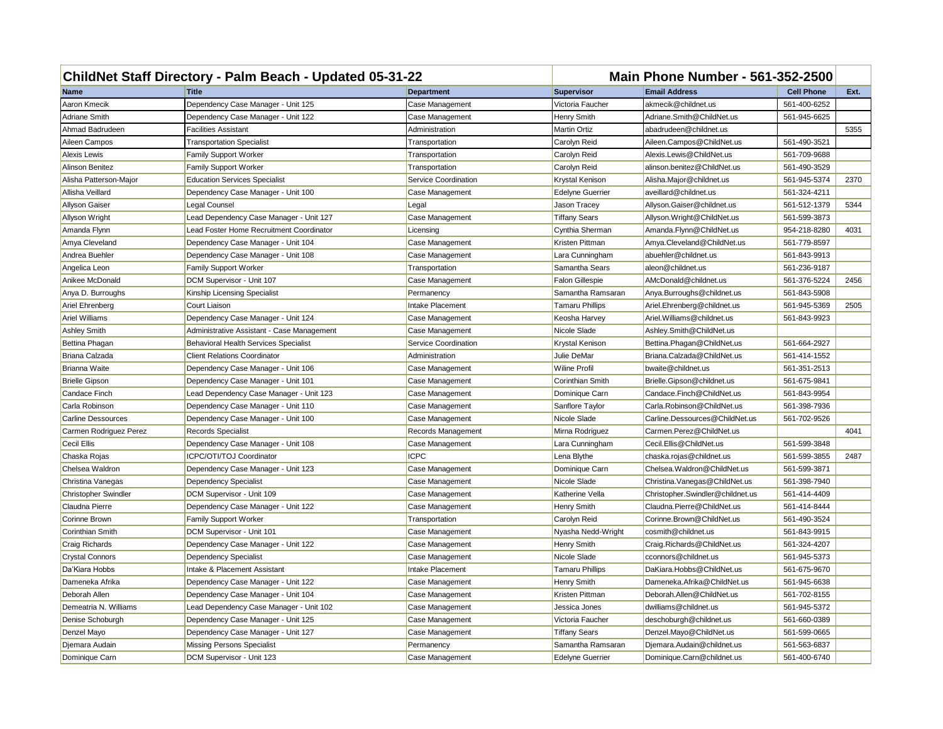| ChildNet Staff Directory - Palm Beach - Updated 05-31-22 |                                              |                      | <b>Main Phone Number - 561-352-2500</b> |                                  |                   |      |
|----------------------------------------------------------|----------------------------------------------|----------------------|-----------------------------------------|----------------------------------|-------------------|------|
| Name                                                     | <b>Title</b>                                 | <b>Department</b>    | <b>Supervisor</b>                       | <b>Email Address</b>             | <b>Cell Phone</b> | Ext. |
| Aaron Kmecik                                             | Dependency Case Manager - Unit 125           | Case Management      | Victoria Faucher                        | akmecik@childnet.us              | 561-400-6252      |      |
| <b>Adriane Smith</b>                                     | Dependency Case Manager - Unit 122           | Case Management      | Henry Smith                             | Adriane.Smith@ChildNet.us        | 561-945-6625      |      |
| Ahmad Badrudeen                                          | Facilities Assistant                         | Administration       | Martin Ortiz                            | abadrudeen@childnet.us           |                   | 5355 |
| Aileen Campos                                            | <b>Transportation Specialist</b>             | Transportation       | Carolyn Reid                            | Aileen.Campos@ChildNet.us        | 561-490-3521      |      |
| <b>Alexis Lewis</b>                                      | <b>Family Support Worker</b>                 | Transportation       | Carolyn Reid                            | Alexis.Lewis@ChildNet.us         | 561-709-9688      |      |
| Alinson Benitez                                          | <b>Family Support Worker</b>                 | Transportation       | Carolyn Reid                            | alinson.benitez@ChildNet.us      | 561-490-3529      |      |
| Alisha Patterson-Major                                   | <b>Education Services Specialist</b>         | Service Coordination | Krystal Kenison                         | Alisha.Major@childnet.us         | 561-945-5374      | 2370 |
| Allisha Veillard                                         | Dependency Case Manager - Unit 100           | Case Management      | <b>Edelyne Guerrier</b>                 | aveillard@childnet.us            | 561-324-4211      |      |
| <b>Allyson Gaiser</b>                                    | Legal Counsel                                | Legal                | Jason Tracey                            | Allyson.Gaiser@childnet.us       | 561-512-1379      | 5344 |
| Allyson Wright                                           | Lead Dependency Case Manager - Unit 127      | Case Management      | <b>Tiffany Sears</b>                    | Allyson. Wright@ChildNet.us      | 561-599-3873      |      |
| Amanda Flynn                                             | Lead Foster Home Recruitment Coordinator     | Licensing            | Cynthia Sherman                         | Amanda.Flynn@ChildNet.us         | 954-218-8280      | 4031 |
| Amya Cleveland                                           | Dependency Case Manager - Unit 104           | Case Management      | Kristen Pittman                         | Amya.Cleveland@ChildNet.us       | 561-779-8597      |      |
| Andrea Buehler                                           | Dependency Case Manager - Unit 108           | Case Management      | Lara Cunningham                         | abuehler@childnet.us             | 561-843-9913      |      |
| Angelica Leon                                            | <b>Family Support Worker</b>                 | Transportation       | Samantha Sears                          | aleon@childnet.us                | 561-236-9187      |      |
| Anikee McDonald                                          | DCM Supervisor - Unit 107                    | Case Management      | <b>Falon Gillespie</b>                  | AMcDonald@childnet.us            | 561-376-5224      | 2456 |
| Anya D. Burroughs                                        | Kinship Licensing Specialist                 | Permanency           | Samantha Ramsaran                       | Anya.Burroughs@childnet.us       | 561-843-5908      |      |
| Ariel Ehrenberg                                          | Court Liaison                                | Intake Placement     | <b>Tamaru Phillips</b>                  | Ariel.Ehrenberg@childnet.us      | 561-945-5369      | 2505 |
| Ariel Williams                                           | Dependency Case Manager - Unit 124           | Case Management      | Keosha Harvey                           | Ariel. Williams@childnet.us      | 561-843-9923      |      |
| <b>Ashley Smith</b>                                      | Administrative Assistant - Case Management   | Case Management      | Nicole Slade                            | Ashley.Smith@ChildNet.us         |                   |      |
| Bettina Phagan                                           | <b>Behavioral Health Services Specialist</b> | Service Coordination | Krystal Kenison                         | Bettina.Phagan@ChildNet.us       | 561-664-2927      |      |
| Briana Calzada                                           | <b>Client Relations Coordinator</b>          | Administration       | Julie DeMar                             | Briana.Calzada@ChildNet.us       | 561-414-1552      |      |
| <b>Brianna Waite</b>                                     | Dependency Case Manager - Unit 106           | Case Management      | <b>Wiline Profil</b>                    | bwaite@childnet.us               | 561-351-2513      |      |
| <b>Brielle Gipson</b>                                    | Dependency Case Manager - Unit 101           | Case Management      | Corinthian Smith                        | Brielle.Gipson@childnet.us       | 561-675-9841      |      |
| Candace Finch                                            | Lead Dependency Case Manager - Unit 123      | Case Management      | Dominique Carn                          | Candace.Finch@ChildNet.us        | 561-843-9954      |      |
| Carla Robinson                                           | Dependency Case Manager - Unit 110           | Case Management      | Sanflore Taylor                         | Carla.Robinson@ChildNet.us       | 561-398-7936      |      |
| <b>Carline Dessources</b>                                | Dependency Case Manager - Unit 100           | Case Management      | Nicole Slade                            | Carline.Dessources@ChildNet.us   | 561-702-9526      |      |
| Carmen Rodriguez Perez                                   | <b>Records Specialist</b>                    | Records Management   | Mirna Rodriguez                         | Carmen.Perez@ChildNet.us         |                   | 4041 |
| Cecil Ellis                                              | Dependency Case Manager - Unit 108           | Case Management      | Lara Cunningham                         | Cecil.Ellis@ChildNet.us          | 561-599-3848      |      |
| Chaska Rojas                                             | ICPC/OTI/TOJ Coordinator                     | <b>ICPC</b>          | Lena Blythe                             | chaska.rojas@childnet.us         | 561-599-3855      | 2487 |
| Chelsea Waldron                                          | Dependency Case Manager - Unit 123           | Case Management      | Dominique Carn                          | Chelsea.Waldron@ChildNet.us      | 561-599-3871      |      |
| Christina Vanegas                                        | Dependency Specialist                        | Case Management      | Nicole Slade                            | Christina. Vanegas@ChildNet.us   | 561-398-7940      |      |
| <b>Christopher Swindler</b>                              | DCM Supervisor - Unit 109                    | Case Management      | Katherine Vella                         | Christopher.Swindler@childnet.us | 561-414-4409      |      |
| Claudna Pierre                                           | Dependency Case Manager - Unit 122           | Case Management      | Henry Smith                             | Claudna.Pierre@ChildNet.us       | 561-414-8444      |      |
| Corinne Brown                                            | <b>Family Support Worker</b>                 | Transportation       | Carolyn Reid                            | Corinne.Brown@ChildNet.us        | 561-490-3524      |      |
| Corinthian Smith                                         | DCM Supervisor - Unit 101                    | Case Management      | Nyasha Nedd-Wright                      | cosmith@childnet.us              | 561-843-9915      |      |
| Craig Richards                                           | Dependency Case Manager - Unit 122           | Case Management      | Henry Smith                             | Craig.Richards@ChildNet.us       | 561-324-4207      |      |
| <b>Crystal Connors</b>                                   | Dependency Specialist                        | Case Management      | Nicole Slade                            | cconnors@childnet.us             | 561-945-5373      |      |
| Da'Kiara Hobbs                                           | Intake & Placement Assistant                 | Intake Placement     | <b>Tamaru Phillips</b>                  | DaKiara.Hobbs@ChildNet.us        | 561-675-9670      |      |
| Dameneka Afrika                                          | Dependency Case Manager - Unit 122           | Case Management      | Henry Smith                             | Dameneka.Afrika@ChildNet.us      | 561-945-6638      |      |
| Deborah Allen                                            | Dependency Case Manager - Unit 104           | Case Management      | Kristen Pittman                         | Deborah.Allen@ChildNet.us        | 561-702-8155      |      |
| Demeatria N. Williams                                    | Lead Dependency Case Manager - Unit 102      | Case Management      | Jessica Jones                           | dwilliams@childnet.us            | 561-945-5372      |      |
| Denise Schoburgh                                         | Dependency Case Manager - Unit 125           | Case Management      | Victoria Faucher                        | deschoburgh@childnet.us          | 561-660-0389      |      |
| Denzel Mayo                                              | Dependency Case Manager - Unit 127           | Case Management      | <b>Tiffany Sears</b>                    | Denzel.Mayo@ChildNet.us          | 561-599-0665      |      |
| Djemara Audain                                           | <b>Missing Persons Specialist</b>            | Permanency           | Samantha Ramsaran                       | Diemara.Audain@childnet.us       | 561-563-6837      |      |
| Dominique Carn                                           | DCM Supervisor - Unit 123                    | Case Management      | <b>Edelyne Guerrier</b>                 | Dominique.Carn@childnet.us       | 561-400-6740      |      |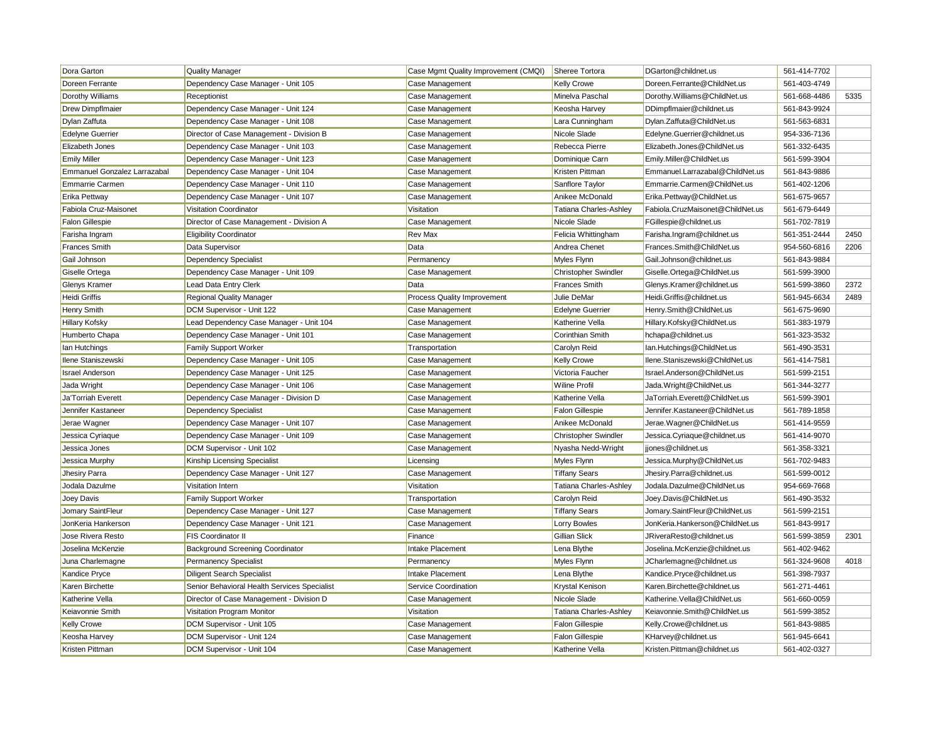| Dora Garton                  | <b>Quality Manager</b>                       | Case Mgmt Quality Improvement (CMQI) | Sheree Tortora                | DGarton@childnet.us              | 561-414-7702 |      |
|------------------------------|----------------------------------------------|--------------------------------------|-------------------------------|----------------------------------|--------------|------|
| Doreen Ferrante              | Dependency Case Manager - Unit 105           | Case Management                      | Kelly Crowe                   | Doreen.Ferrante@ChildNet.us      | 561-403-4749 |      |
| Dorothy Williams             | Receptionist                                 | Case Management                      | Minelva Paschal               | Dorothy. Williams@ChildNet.us    | 561-668-4486 | 5335 |
| <b>Drew Dimpflmaier</b>      | Dependency Case Manager - Unit 124           | Case Management                      | Keosha Harvey                 | DDimpflmaier@childnet.us         | 561-843-9924 |      |
| Dylan Zaffuta                | Dependency Case Manager - Unit 108           | Case Management                      | Lara Cunningham               | Dylan. Zaffuta@ChildNet.us       | 561-563-6831 |      |
| <b>Edelyne Guerrier</b>      | Director of Case Management - Division B     | Case Management                      | Nicole Slade                  | Edelyne.Guerrier@childnet.us     | 954-336-7136 |      |
| Elizabeth Jones              | Dependency Case Manager - Unit 103           | Case Management                      | Rebecca Pierre                | Elizabeth.Jones@ChildNet.us      | 561-332-6435 |      |
| <b>Emily Miller</b>          | Dependency Case Manager - Unit 123           | Case Management                      | Dominique Carn                | Emily.Miller@ChildNet.us         | 561-599-3904 |      |
| Emmanuel Gonzalez Larrazabal | Dependency Case Manager - Unit 104           | Case Management                      | Kristen Pittman               | Emmanuel.Larrazabal@ChildNet.us  | 561-843-9886 |      |
| <b>Emmarrie Carmen</b>       | Dependency Case Manager - Unit 110           | Case Management                      | Sanflore Taylor               | Emmarrie.Carmen@ChildNet.us      | 561-402-1206 |      |
| Erika Pettway                | Dependency Case Manager - Unit 107           | Case Management                      | Anikee McDonald               | Erika.Pettway@ChildNet.us        | 561-675-9657 |      |
| Fabiola Cruz-Maisonet        | Visitation Coordinator                       | Visitation                           | Tatiana Charles-Ashley        | Fabiola.CruzMaisonet@ChildNet.us | 561-679-6449 |      |
| <b>Falon Gillespie</b>       | Director of Case Management - Division A     | Case Management                      | Nicole Slade                  | FGillespie@childnet.us           | 561-702-7819 |      |
| Farisha Ingram               | <b>Eligibility Coordinator</b>               | <b>Rev Max</b>                       | Felicia Whittingham           | Farisha.Ingram@childnet.us       | 561-351-2444 | 2450 |
| <b>Frances Smith</b>         | Data Supervisor                              | Data                                 | Andrea Chenet                 | Frances.Smith@ChildNet.us        | 954-560-6816 | 2206 |
| Gail Johnson                 | <b>Dependency Specialist</b>                 | Permanency                           | Myles Flynn                   | Gail.Johnson@childnet.us         | 561-843-9884 |      |
| Giselle Ortega               | Dependency Case Manager - Unit 109           | Case Management                      | <b>Christopher Swindler</b>   | Giselle.Ortega@ChildNet.us       | 561-599-3900 |      |
| Glenys Kramer                | Lead Data Entry Clerk                        | Data                                 | <b>Frances Smith</b>          | Glenys.Kramer@childnet.us        | 561-599-3860 | 2372 |
| <b>Heidi Griffis</b>         | Regional Quality Manager                     | Process Quality Improvement          | Julie DeMar                   | Heidi.Griffis@childnet.us        | 561-945-6634 | 2489 |
| <b>Henry Smith</b>           | DCM Supervisor - Unit 122                    | Case Management                      | <b>Edelyne Guerrier</b>       | Henry.Smith@ChildNet.us          | 561-675-9690 |      |
| <b>Hillary Kofsky</b>        | Lead Dependency Case Manager - Unit 104      | Case Management                      | Katherine Vella               | Hillary.Kofsky@ChildNet.us       | 561-383-1979 |      |
| Humberto Chapa               | Dependency Case Manager - Unit 101           | Case Management                      | Corinthian Smith              | hchapa@childnet.us               | 561-323-3532 |      |
| Ian Hutchings                | <b>Family Support Worker</b>                 | Transportation                       | Carolyn Reid                  | Ian.Hutchings@ChildNet.us        | 561-490-3531 |      |
| Ilene Staniszewski           | Dependency Case Manager - Unit 105           | Case Management                      | <b>Kelly Crowe</b>            | Ilene.Staniszewski@ChildNet.us   | 561-414-7581 |      |
| <b>Israel Anderson</b>       | Dependency Case Manager - Unit 125           | Case Management                      | Victoria Faucher              | Israel.Anderson@ChildNet.us      | 561-599-2151 |      |
| Jada Wright                  | Dependency Case Manager - Unit 106           | Case Management                      | <b>Wiline Profil</b>          | Jada.Wright@ChildNet.us          | 561-344-3277 |      |
| Ja'Torriah Everett           | Dependency Case Manager - Division D         | Case Management                      | Katherine Vella               | JaTorriah.Everett@ChildNet.us    | 561-599-3901 |      |
| Jennifer Kastaneer           | <b>Dependency Specialist</b>                 | Case Management                      | <b>Falon Gillespie</b>        | Jennifer.Kastaneer@ChildNet.us   | 561-789-1858 |      |
| Jerae Wagner                 | Dependency Case Manager - Unit 107           | Case Management                      | Anikee McDonald               | Jerae.Wagner@ChildNet.us         | 561-414-9559 |      |
| Jessica Cyriaque             | Dependency Case Manager - Unit 109           | Case Management                      | <b>Christopher Swindler</b>   | Jessica.Cyriaque@childnet.us     | 561-414-9070 |      |
| Jessica Jones                | DCM Supervisor - Unit 102                    | Case Management                      | Nyasha Nedd-Wright            | jiones@childnet.us               | 561-358-3321 |      |
| Jessica Murphy               | Kinship Licensing Specialist                 | Licensing                            | Myles Flynn                   | Jessica.Murphy@ChildNet.us       | 561-702-9483 |      |
| Jhesiry Parra                | Dependency Case Manager - Unit 127           | Case Management                      | <b>Tiffany Sears</b>          | Jhesiry.Parra@childnet.us        | 561-599-0012 |      |
| Jodala Dazulme               | Visitation Intern                            | Visitation                           | <b>Tatiana Charles-Ashley</b> | Jodala.Dazulme@ChildNet.us       | 954-669-7668 |      |
| Joey Davis                   | <b>Family Support Worker</b>                 | Transportation                       | Carolyn Reid                  | Joey.Davis@ChildNet.us           | 561-490-3532 |      |
| Jomary SaintFleur            | Dependency Case Manager - Unit 127           | Case Management                      | <b>Tiffany Sears</b>          | Jomary.SaintFleur@ChildNet.us    | 561-599-2151 |      |
| JonKeria Hankerson           | Dependency Case Manager - Unit 121           | Case Management                      | Lorry Bowles                  | JonKeria.Hankerson@ChildNet.us   | 561-843-9917 |      |
| Jose Rivera Resto            | FIS Coordinator II                           | Finance                              | <b>Gillian Slick</b>          | JRiveraResto@childnet.us         | 561-599-3859 | 2301 |
| Joselina McKenzie            | <b>Background Screening Coordinator</b>      | Intake Placement                     | Lena Blythe                   | Joselina.McKenzie@childnet.us    | 561-402-9462 |      |
| Juna Charlemagne             | <b>Permanency Specialist</b>                 | Permanency                           | Myles Flynn                   | JCharlemagne@childnet.us         | 561-324-9608 | 4018 |
| Kandice Pryce                | <b>Diligent Search Specialist</b>            | Intake Placement                     | Lena Blythe                   | Kandice.Pryce@childnet.us        | 561-398-7937 |      |
| Karen Birchette              | Senior Behavioral Health Services Specialist | Service Coordination                 | Krystal Kenison               | Karen.Birchette@childnet.us      | 561-271-4461 |      |
| Katherine Vella              | Director of Case Management - Division D     | Case Management                      | Nicole Slade                  | Katherine. Vella@ChildNet.us     | 561-660-0059 |      |
| Keiavonnie Smith             | <b>Visitation Program Monitor</b>            | Visitation                           | <b>Tatiana Charles-Ashley</b> | Keiavonnie.Smith@ChildNet.us     | 561-599-3852 |      |
| <b>Kelly Crowe</b>           | DCM Supervisor - Unit 105                    | Case Management                      | <b>Falon Gillespie</b>        | Kelly.Crowe@childnet.us          | 561-843-9885 |      |
| Keosha Harvey                | DCM Supervisor - Unit 124                    | Case Management                      | <b>Falon Gillespie</b>        | KHarvey@childnet.us              | 561-945-6641 |      |
| Kristen Pittman              | DCM Supervisor - Unit 104                    | Case Management                      | Katherine Vella               | Kristen.Pittman@childnet.us      | 561-402-0327 |      |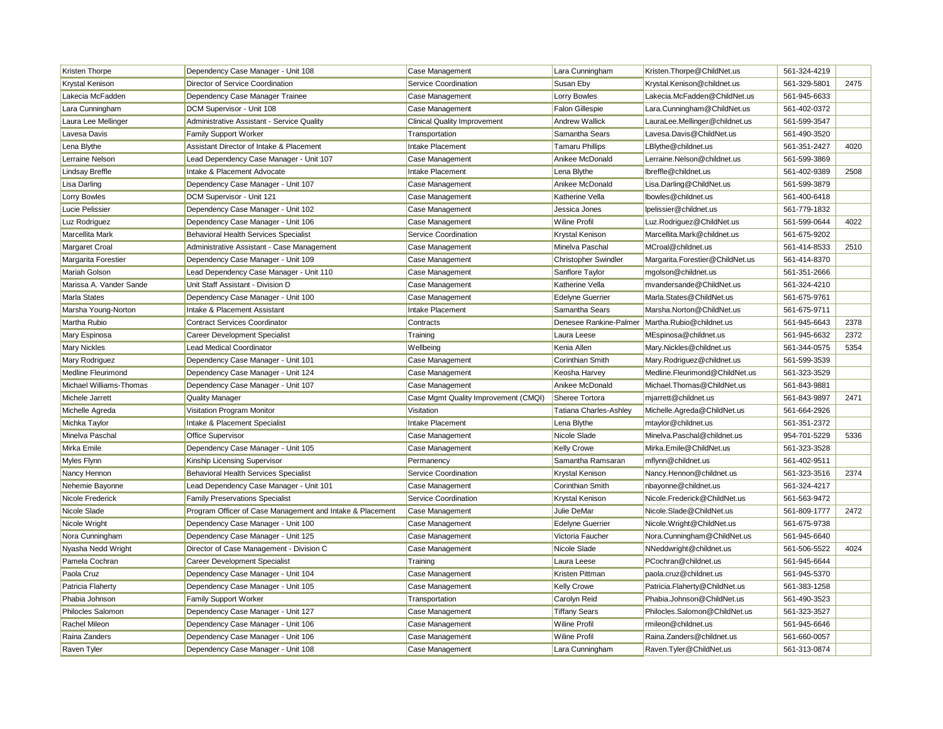| Kristen Thorpe          | Dependency Case Manager - Unit 108                        | Case Management                      | Lara Cunningham               | Kristen.Thorpe@ChildNet.us       | 561-324-4219 |      |
|-------------------------|-----------------------------------------------------------|--------------------------------------|-------------------------------|----------------------------------|--------------|------|
| Krystal Kenison         | Director of Service Coordination                          | Service Coordination                 | Susan Eby                     | Krystal.Kenison@childnet.us      | 561-329-5801 | 2475 |
| Lakecia McFadden        | Dependency Case Manager Trainee                           | Case Management                      | Lorry Bowles                  | Lakecia.McFadden@ChildNet.us     | 561-945-6633 |      |
| Lara Cunningham         | DCM Supervisor - Unit 108                                 | Case Management                      | <b>Falon Gillespie</b>        | Lara.Cunningham@ChildNet.us      | 561-402-0372 |      |
| Laura Lee Mellinger     | Administrative Assistant - Service Quality                | <b>Clinical Quality Improvement</b>  | <b>Andrew Wallick</b>         | LauraLee.Mellinger@childnet.us   | 561-599-3547 |      |
| Lavesa Davis            | <b>Family Support Worker</b>                              | Transportation                       | Samantha Sears                | Lavesa.Davis@ChildNet.us         | 561-490-3520 |      |
| Lena Blythe             | Assistant Director of Intake & Placement                  | Intake Placement                     | <b>Tamaru Phillips</b>        | LBlythe@childnet.us              | 561-351-2427 | 4020 |
| Lerraine Nelson         | Lead Dependency Case Manager - Unit 107                   | Case Management                      | Anikee McDonald               | Lerraine.Nelson@childnet.us      | 561-599-3869 |      |
| <b>Lindsay Breffle</b>  | Intake & Placement Advocate                               | Intake Placement                     | Lena Blythe                   | Ibreffle@childnet.us             | 561-402-9389 | 2508 |
| Lisa Darling            | Dependency Case Manager - Unit 107                        | Case Management                      | Anikee McDonald               | Lisa.Darling@ChildNet.us         | 561-599-3879 |      |
| Lorry Bowles            | DCM Supervisor - Unit 121                                 | Case Management                      | Katherine Vella               | Ibowles@childnet.us              | 561-400-6418 |      |
| Lucie Pelissier         | Dependency Case Manager - Unit 102                        | Case Management                      | Jessica Jones                 | Ipelissier@childnet.us           | 561-779-1832 |      |
| Luz Rodriguez           | Dependency Case Manager - Unit 106                        | Case Management                      | Wiline Profil                 | Luz.Rodriguez@ChildNet.us        | 561-599-0644 | 4022 |
| Marcellita Mark         | <b>Behavioral Health Services Specialist</b>              | Service Coordination                 | Krystal Kenison               | Marcellita.Mark@childnet.us      | 561-675-9202 |      |
| Margaret Croal          | Administrative Assistant - Case Management                | Case Management                      | Minelva Paschal               | MCroal@childnet.us               | 561-414-8533 | 2510 |
| Margarita Forestier     | Dependency Case Manager - Unit 109                        | Case Management                      | <b>Christopher Swindler</b>   | Margarita. Forestier@ChildNet.us | 561-414-8370 |      |
| <b>Mariah Golson</b>    | Lead Dependency Case Manager - Unit 110                   | Case Management                      | Sanflore Taylor               | mgolson@childnet.us              | 561-351-2666 |      |
| Marissa A. Vander Sande | Unit Staff Assistant - Division D                         | Case Management                      | Katherine Vella               | mvandersande@ChildNet.us         | 561-324-4210 |      |
| Marla States            | Dependency Case Manager - Unit 100                        | Case Management                      | <b>Edelyne Guerrier</b>       | Marla.States@ChildNet.us         | 561-675-9761 |      |
| Marsha Young-Norton     | Intake & Placement Assistant                              | Intake Placement                     | Samantha Sears                | Marsha.Norton@ChildNet.us        | 561-675-9711 |      |
| Martha Rubio            | <b>Contract Services Coordinator</b>                      | Contracts                            | Denesee Rankine-Palmer        | Martha.Rubio@childnet.us         | 561-945-6643 | 2378 |
| Mary Espinosa           | Career Development Specialist                             | Training                             | Laura Leese                   | MEspinosa@childnet.us            | 561-945-6632 | 2372 |
| <b>Mary Nickles</b>     | <b>Lead Medical Coordinator</b>                           | Wellbeing                            | Kenia Allen                   | Mary.Nickles@childnet.us         | 561-344-0575 | 5354 |
| Mary Rodriguez          | Dependency Case Manager - Unit 101                        | Case Management                      | Corinthian Smith              | Mary.Rodriguez@childnet.us       | 561-599-3539 |      |
| Medline Fleurimond      | Dependency Case Manager - Unit 124                        | Case Management                      | Keosha Harvey                 | Medline.Fleurimond@ChildNet.us   | 561-323-3529 |      |
| Michael Williams-Thomas | Dependency Case Manager - Unit 107                        | Case Management                      | Anikee McDonald               | Michael. Thomas @ ChildNet.us    | 561-843-9881 |      |
| Michele Jarrett         | <b>Quality Manager</b>                                    | Case Mgmt Quality Improvement (CMQI) | Sheree Tortora                | mjarrett@childnet.us             | 561-843-9897 | 2471 |
| Michelle Agreda         | Visitation Program Monitor                                | Visitation                           | <b>Tatiana Charles-Ashley</b> | Michelle.Agreda@ChildNet.us      | 561-664-2926 |      |
| Michka Taylor           | Intake & Placement Specialist                             | Intake Placement                     | Lena Blythe                   | mtaylor@childnet.us              | 561-351-2372 |      |
| Minelva Paschal         | Office Supervisor                                         | Case Management                      | Nicole Slade                  | Minelva.Paschal@childnet.us      | 954-701-5229 | 5336 |
| Mirka Emile             | Dependency Case Manager - Unit 105                        | Case Management                      | <b>Kelly Crowe</b>            | Mirka.Emile@ChildNet.us          | 561-323-3528 |      |
| Myles Flynn             | Kinship Licensing Supervisor                              | Permanency                           | Samantha Ramsaran             | mflynn@childnet.us               | 561-402-9511 |      |
| Nancy Hennon            | <b>Behavioral Health Services Specialist</b>              | Service Coordination                 | Krystal Kenison               | Nancy.Hennon@childnet.us         | 561-323-3516 | 2374 |
| Nehemie Bayonne         | Lead Dependency Case Manager - Unit 101                   | Case Management                      | Corinthian Smith              | nbayonne@childnet.us             | 561-324-4217 |      |
| Nicole Frederick        | <b>Family Preservations Specialist</b>                    | Service Coordination                 | Krystal Kenison               | Nicole.Frederick@ChildNet.us     | 561-563-9472 |      |
| Nicole Slade            | Program Officer of Case Management and Intake & Placement | Case Management                      | Julie DeMar                   | Nicole.Slade@ChildNet.us         | 561-809-1777 | 2472 |
| Nicole Wright           | Dependency Case Manager - Unit 100                        | Case Management                      | <b>Edelyne Guerrier</b>       | Nicole.Wright@ChildNet.us        | 561-675-9738 |      |
| Nora Cunningham         | Dependency Case Manager - Unit 125                        | Case Management                      | Victoria Faucher              | Nora.Cunningham@ChildNet.us      | 561-945-6640 |      |
| Nyasha Nedd Wright      | Director of Case Management - Division C                  | Case Management                      | Nicole Slade                  | NNeddwright@childnet.us          | 561-506-5522 | 4024 |
| Pamela Cochran          | Career Development Specialist                             | Training                             | Laura Leese                   | PCochran@childnet.us             | 561-945-6644 |      |
| Paola Cruz              | Dependency Case Manager - Unit 104                        | Case Management                      | Kristen Pittman               | paola.cruz@childnet.us           | 561-945-5370 |      |
| Patricia Flaherty       | Dependency Case Manager - Unit 105                        | Case Management                      | Kelly Crowe                   | Patricia.Flaherty@ChildNet.us    | 561-383-1258 |      |
| Phabia Johnson          | Family Support Worker                                     | Transportation                       | Carolyn Reid                  | Phabia.Johnson@ChildNet.us       | 561-490-3523 |      |
| Philocles Salomon       | Dependency Case Manager - Unit 127                        | Case Management                      | <b>Tiffany Sears</b>          | Philocles.Salomon@ChildNet.us    | 561-323-3527 |      |
| Rachel Mileon           | Dependency Case Manager - Unit 106                        | Case Management                      | <b>Wiline Profil</b>          | rmileon@childnet.us              | 561-945-6646 |      |
| Raina Zanders           | Dependency Case Manager - Unit 106                        | Case Management                      | <b>Wiline Profil</b>          | Raina.Zanders@childnet.us        | 561-660-0057 |      |
| Raven Tyler             | Dependency Case Manager - Unit 108                        | Case Management                      | Lara Cunningham               | Raven.Tyler@ChildNet.us          | 561-313-0874 |      |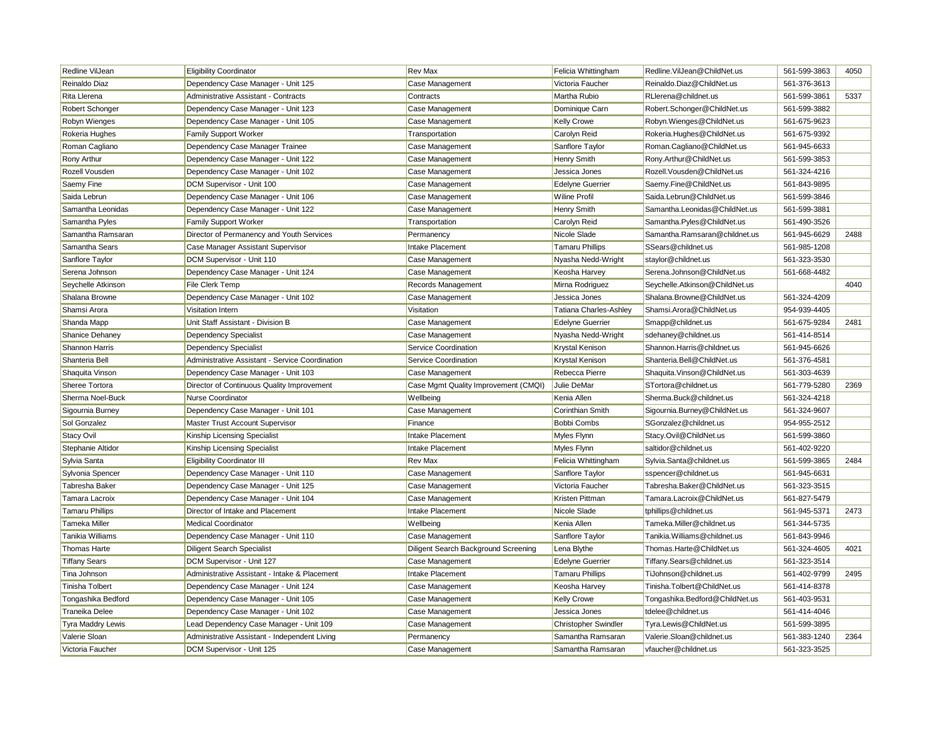| Redline VilJean        | <b>Eligibility Coordinator</b>                         | <b>Rev Max</b>                       | Felicia Whittingham         | Redline. VilJean@ChildNet.us   | 561-599-3863 | 4050 |
|------------------------|--------------------------------------------------------|--------------------------------------|-----------------------------|--------------------------------|--------------|------|
| Reinaldo Diaz          | Dependency Case Manager - Unit 125                     | Case Management                      | Victoria Faucher            | Reinaldo.Diaz@ChildNet.us      | 561-376-3613 |      |
| Rita Llerena           | <b>Administrative Assistant - Contracts</b>            | Contracts                            | Martha Rubio                | RLlerena@childnet.us           | 561-599-3861 | 5337 |
| Robert Schonger        | Dependency Case Manager - Unit 123                     | Case Management                      | Dominique Carn              | Robert.Schonger@ChildNet.us    | 561-599-3882 |      |
| Robyn Wienges          | Dependency Case Manager - Unit 105                     | Case Management                      | Kelly Crowe                 | Robyn. Wienges@ChildNet.us     | 561-675-9623 |      |
| Rokeria Hughes         | <b>Family Support Worker</b>                           | Transportation                       | Carolyn Reid                | Rokeria.Hughes@ChildNet.us     | 561-675-9392 |      |
| Roman Cagliano         | Dependency Case Manager Trainee                        | Case Management                      | Sanflore Taylor             | Roman.Cagliano@ChildNet.us     | 561-945-6633 |      |
| Rony Arthur            | Dependency Case Manager - Unit 122                     | Case Management                      | Henry Smith                 | Rony.Arthur@ChildNet.us        | 561-599-3853 |      |
| Rozell Vousden         | Dependency Case Manager - Unit 102                     | Case Management                      | Jessica Jones               | Rozell. Vousden@ChildNet.us    | 561-324-4216 |      |
| Saemy Fine             | DCM Supervisor - Unit 100                              | Case Management                      | <b>Edelyne Guerrier</b>     | Saemy.Fine@ChildNet.us         | 561-843-9895 |      |
| Saida Lebrun           | Dependency Case Manager - Unit 106                     | Case Management                      | Wiline Profil               | Saida.Lebrun@ChildNet.us       | 561-599-3846 |      |
| Samantha Leonidas      | Dependency Case Manager - Unit 122                     | Case Management                      | Henry Smith                 | Samantha.Leonidas@ChildNet.us  | 561-599-3881 |      |
| Samantha Pyles         | <b>Family Support Worker</b>                           | Transportation                       | Carolyn Reid                | Samantha.Pyles@ChildNet.us     | 561-490-3526 |      |
| Samantha Ramsaran      | Director of Permanency and Youth Services              | Permanency                           | Nicole Slade                | Samantha.Ramsaran@childnet.us  | 561-945-6629 | 2488 |
| Samantha Sears         | Case Manager Assistant Supervisor                      | Intake Placement                     | <b>Tamaru Phillips</b>      | SSears@childnet.us             | 561-985-1208 |      |
| Sanflore Taylor        | DCM Supervisor - Unit 110                              | Case Management                      | Nyasha Nedd-Wright          | staylor@childnet.us            | 561-323-3530 |      |
| Serena Johnson         | Dependency Case Manager - Unit 124                     | Case Management                      | Keosha Harvey               | Serena.Johnson@ChildNet.us     | 561-668-4482 |      |
| Seychelle Atkinson     | File Clerk Temp                                        | Records Management                   | Mirna Rodriguez             | Seychelle.Atkinson@ChildNet.us |              | 4040 |
| Shalana Browne         | Dependency Case Manager - Unit 102                     | Case Management                      | Jessica Jones               | Shalana.Browne@ChildNet.us     | 561-324-4209 |      |
| Shamsi Arora           | Visitation Intern                                      | Visitation                           | Tatiana Charles-Ashley      | Shamsi.Arora@ChildNet.us       | 954-939-4405 |      |
| Shanda Mapp            | Unit Staff Assistant - Division B                      | Case Management                      | <b>Edelyne Guerrier</b>     | Smapp@childnet.us              | 561-675-9284 | 2481 |
| Shanice Dehaney        | Dependency Specialist                                  | Case Management                      | Nyasha Nedd-Wright          | sdehaney@childnet.us           | 561-414-8514 |      |
| Shannon Harris         | Dependency Specialist                                  | Service Coordination                 | Krystal Kenison             | Shannon. Harris@childnet.us    | 561-945-6626 |      |
| Shanteria Bell         | <b>Administrative Assistant - Service Coordination</b> | Service Coordination                 | Krystal Kenison             | Shanteria.Bell@ChildNet.us     | 561-376-4581 |      |
| Shaquita Vinson        | Dependency Case Manager - Unit 103                     | Case Management                      | Rebecca Pierre              | Shaquita. Vinson@ChildNet.us   | 561-303-4639 |      |
| Sheree Tortora         | Director of Continuous Quality Improvement             | Case Mgmt Quality Improvement (CMQI) | Julie DeMar                 | STortora@childnet.us           | 561-779-5280 | 2369 |
| Sherma Noel-Buck       | Nurse Coordinator                                      | Wellbeing                            | Kenia Allen                 | Sherma.Buck@childnet.us        | 561-324-4218 |      |
| Sigournia Burney       | Dependency Case Manager - Unit 101                     | Case Management                      | Corinthian Smith            | Sigournia.Burney@ChildNet.us   | 561-324-9607 |      |
| Sol Gonzalez           | Master Trust Account Supervisor                        | Finance                              | Bobbi Combs                 | SGonzalez@childnet.us          | 954-955-2512 |      |
| Stacy Ovil             | Kinship Licensing Specialist                           | Intake Placement                     | Myles Flynn                 | Stacy.Ovil@ChildNet.us         | 561-599-3860 |      |
| Stephanie Altidor      | Kinship Licensing Specialist                           | Intake Placement                     | Myles Flynn                 | saltidor@childnet.us           | 561-402-9220 |      |
| Sylvia Santa           | <b>Eligibility Coordinator III</b>                     | <b>Rev Max</b>                       | Felicia Whittingham         | Sylvia.Santa@childnet.us       | 561-599-3865 | 2484 |
| Sylvonia Spencer       | Dependency Case Manager - Unit 110                     | Case Management                      | Sanflore Taylor             | sspencer@childnet.us           | 561-945-6631 |      |
| Tabresha Baker         | Dependency Case Manager - Unit 125                     | Case Management                      | Victoria Faucher            | Tabresha.Baker@ChildNet.us     | 561-323-3515 |      |
| Tamara Lacroix         | Dependency Case Manager - Unit 104                     | Case Management                      | Kristen Pittman             | Tamara.Lacroix@ChildNet.us     | 561-827-5479 |      |
| <b>Tamaru Phillips</b> | Director of Intake and Placement                       | Intake Placement                     | Nicole Slade                | tphillips@childnet.us          | 561-945-5371 | 2473 |
| Tameka Miller          | <b>Medical Coordinator</b>                             | Wellbeing                            | Kenia Allen                 | Tameka.Miller@childnet.us      | 561-344-5735 |      |
| Tanikia Williams       | Dependency Case Manager - Unit 110                     | Case Management                      | Sanflore Taylor             | Tanikia. Williams@childnet.us  | 561-843-9946 |      |
| Thomas Harte           | <b>Diligent Search Specialist</b>                      | Diligent Search Background Screening | Lena Blythe                 | Thomas.Harte@ChildNet.us       | 561-324-4605 | 4021 |
| <b>Tiffany Sears</b>   | DCM Supervisor - Unit 127                              | Case Management                      | <b>Edelyne Guerrier</b>     | Tiffany.Sears@childnet.us      | 561-323-3514 |      |
| Tina Johnson           | Administrative Assistant - Intake & Placement          | Intake Placement                     | <b>Tamaru Phillips</b>      | TiJohnson@childnet.us          | 561-402-9799 | 2495 |
| <b>Tinisha Tolbert</b> | Dependency Case Manager - Unit 124                     | Case Management                      | Keosha Harvey               | Tinisha.Tolbert@ChildNet.us    | 561-414-8378 |      |
| Tongashika Bedford     | Dependency Case Manager - Unit 105                     | Case Management                      | Kelly Crowe                 | Tongashika.Bedford@ChildNet.us | 561-403-9531 |      |
| Traneika Delee         | Dependency Case Manager - Unit 102                     | Case Management                      | Jessica Jones               | tdelee@childnet.us             | 561-414-4046 |      |
| Tyra Maddry Lewis      | Lead Dependency Case Manager - Unit 109                | Case Management                      | <b>Christopher Swindler</b> | Tyra.Lewis@ChildNet.us         | 561-599-3895 |      |
| Valerie Sloan          | Administrative Assistant - Independent Living          | Permanency                           | Samantha Ramsaran           | Valerie.Sloan@childnet.us      | 561-383-1240 | 2364 |
| Victoria Faucher       | DCM Supervisor - Unit 125                              | Case Management                      | Samantha Ramsaran           | vfaucher@childnet.us           | 561-323-3525 |      |